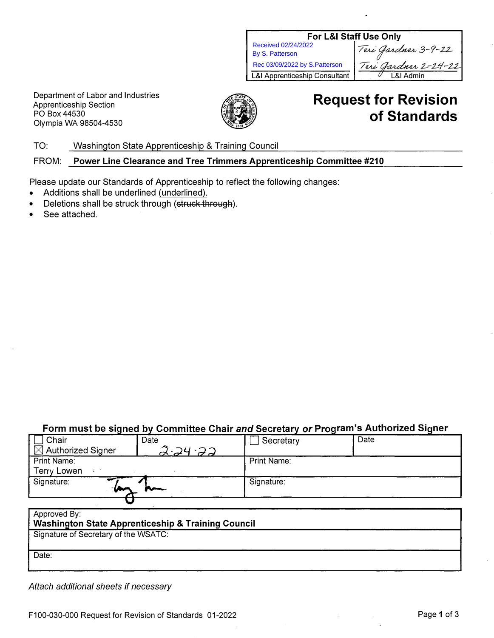| For L&I Staff Use Only                   |                      |  |  |
|------------------------------------------|----------------------|--|--|
| Received 02/24/2022                      | Teri Gardner 3-9-22  |  |  |
| <b>By S. Patterson</b>                   |                      |  |  |
| Rec 03/09/2022 by S.Patterson            | Teri Gardner 2-24-22 |  |  |
| <b>L&amp;I Apprenticeship Consultant</b> | &I Admin             |  |  |

Department of Labor and Industries Apprenticeship Section PO Box44530 Olympia WA 98504-4530



# **Request for Revision of Standards**

TO: Washington State Apprenticeship & Training Council

#### FROM: **Power Line Clearance and Tree Trimmers Apprenticeship Committee #210**

Please update our Standards of Apprenticeship to reflect the following changes:

- Additions shall be underlined (underlined).
- Deletions shall be struck through (struck through).
- See attached.

## Form must be signed by Committee Chair *and* Secretary o*r* Program's Authorized Signer

| Chair                                                         | Date          | Secretary   | Date |  |
|---------------------------------------------------------------|---------------|-------------|------|--|
| $\boxtimes$ Authorized Signer                                 | $2 - 24 - 22$ |             |      |  |
| Print Name:                                                   |               | Print Name: |      |  |
| <b>Terry Lowen</b>                                            |               |             |      |  |
| Signature:                                                    |               | Signature:  |      |  |
|                                                               |               |             |      |  |
| Approved By:                                                  |               |             |      |  |
| <b>Washington State Apprenticeship &amp; Training Council</b> |               |             |      |  |
| Signature of Secretary of the WSATC:                          |               |             |      |  |

Date:

*Attach additional sheets if necessary*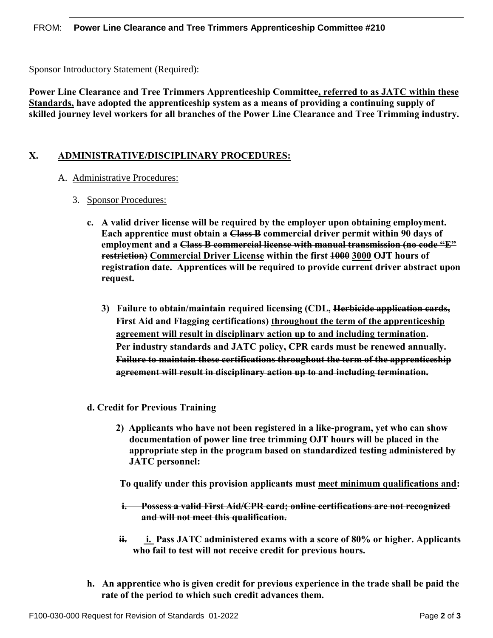Sponsor Introductory Statement (Required):

**Power Line Clearance and Tree Trimmers Apprenticeship Committee, referred to as JATC within these Standards, have adopted the apprenticeship system as a means of providing a continuing supply of skilled journey level workers for all branches of the Power Line Clearance and Tree Trimming industry.** 

## **X. ADMINISTRATIVE/DISCIPLINARY PROCEDURES:**

### A. Administrative Procedures:

- 3. Sponsor Procedures:
	- **c. A valid driver license will be required by the employer upon obtaining employment. Each apprentice must obtain a Class B commercial driver permit within 90 days of employment and a Class B commercial license with manual transmission (no code "E" restriction) Commercial Driver License within the first 1000 3000 OJT hours of registration date. Apprentices will be required to provide current driver abstract upon request.**
		- **3) Failure to obtain/maintain required licensing (CDL, Herbicide application cards, First Aid and Flagging certifications) throughout the term of the apprenticeship agreement will result in disciplinary action up to and including termination. Per industry standards and JATC policy, CPR cards must be renewed annually. Failure to maintain these certifications throughout the term of the apprenticeship agreement will result in disciplinary action up to and including termination.**
	- **d. Credit for Previous Training**
		- **2) Applicants who have not been registered in a like-program, yet who can show documentation of power line tree trimming OJT hours will be placed in the appropriate step in the program based on standardized testing administered by JATC personnel:**

**To qualify under this provision applicants must meet minimum qualifications and:**

- **i. Possess a valid First Aid/CPR card; online certifications are not recognized and will not meet this qualification.**
- **ii. i. Pass JATC administered exams with a score of 80% or higher. Applicants who fail to test will not receive credit for previous hours.**
- **h. An apprentice who is given credit for previous experience in the trade shall be paid the rate of the period to which such credit advances them.**